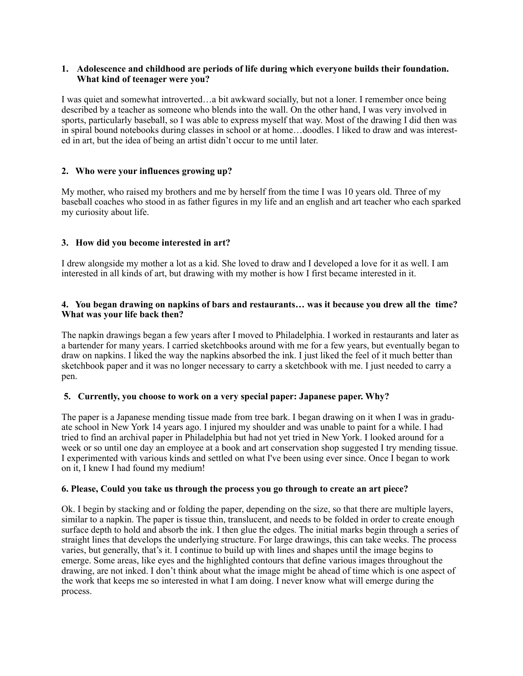## **1. Adolescence and childhood are periods of life during which everyone builds their foundation. What kind of teenager were you?**

I was quiet and somewhat introverted…a bit awkward socially, but not a loner. I remember once being described by a teacher as someone who blends into the wall. On the other hand, I was very involved in sports, particularly baseball, so I was able to express myself that way. Most of the drawing I did then was in spiral bound notebooks during classes in school or at home…doodles. I liked to draw and was interested in art, but the idea of being an artist didn't occur to me until later.

# **2. Who were your influences growing up?**

My mother, who raised my brothers and me by herself from the time I was 10 years old. Three of my baseball coaches who stood in as father figures in my life and an english and art teacher who each sparked my curiosity about life.

### **3. How did you become interested in art?**

I drew alongside my mother a lot as a kid. She loved to draw and I developed a love for it as well. I am interested in all kinds of art, but drawing with my mother is how I first became interested in it.

## **4. You began drawing on napkins of bars and restaurants… was it because you drew all the time? What was your life back then?**

The napkin drawings began a few years after I moved to Philadelphia. I worked in restaurants and later as a bartender for many years. I carried sketchbooks around with me for a few years, but eventually began to draw on napkins. I liked the way the napkins absorbed the ink. I just liked the feel of it much better than sketchbook paper and it was no longer necessary to carry a sketchbook with me. I just needed to carry a pen.

#### **5. Currently, you choose to work on a very special paper: Japanese paper. Why?**

The paper is a Japanese mending tissue made from tree bark. I began drawing on it when I was in graduate school in New York 14 years ago. I injured my shoulder and was unable to paint for a while. I had tried to find an archival paper in Philadelphia but had not yet tried in New York. I looked around for a week or so until one day an employee at a book and art conservation shop suggested I try mending tissue. I experimented with various kinds and settled on what I've been using ever since. Once I began to work on it, I knew I had found my medium!

#### **6. Please, Could you take us through the process you go through to create an art piece?**

Ok. I begin by stacking and or folding the paper, depending on the size, so that there are multiple layers, similar to a napkin. The paper is tissue thin, translucent, and needs to be folded in order to create enough surface depth to hold and absorb the ink. I then glue the edges. The initial marks begin through a series of straight lines that develops the underlying structure. For large drawings, this can take weeks. The process varies, but generally, that's it. I continue to build up with lines and shapes until the image begins to emerge. Some areas, like eyes and the highlighted contours that define various images throughout the drawing, are not inked. I don't think about what the image might be ahead of time which is one aspect of the work that keeps me so interested in what I am doing. I never know what will emerge during the process.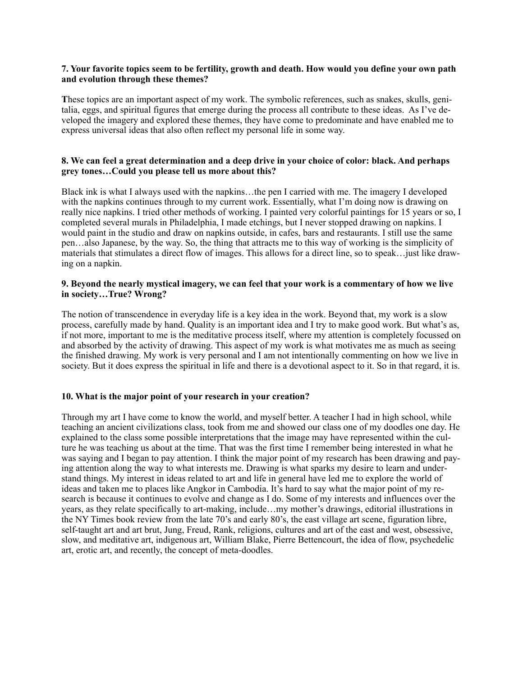#### **7. Your favorite topics seem to be fertility, growth and death. How would you define your own path and evolution through these themes?**

**T**hese topics are an important aspect of my work. The symbolic references, such as snakes, skulls, genitalia, eggs, and spiritual figures that emerge during the process all contribute to these ideas. As I've developed the imagery and explored these themes, they have come to predominate and have enabled me to express universal ideas that also often reflect my personal life in some way.

### **8. We can feel a great determination and a deep drive in your choice of color: black. And perhaps grey tones…Could you please tell us more about this?**

Black ink is what I always used with the napkins…the pen I carried with me. The imagery I developed with the napkins continues through to my current work. Essentially, what I'm doing now is drawing on really nice napkins. I tried other methods of working. I painted very colorful paintings for 15 years or so, I completed several murals in Philadelphia, I made etchings, but I never stopped drawing on napkins. I would paint in the studio and draw on napkins outside, in cafes, bars and restaurants. I still use the same pen…also Japanese, by the way. So, the thing that attracts me to this way of working is the simplicity of materials that stimulates a direct flow of images. This allows for a direct line, so to speak…just like drawing on a napkin.

### **9. Beyond the nearly mystical imagery, we can feel that your work is a commentary of how we live in society…True? Wrong?**

The notion of transcendence in everyday life is a key idea in the work. Beyond that, my work is a slow process, carefully made by hand. Quality is an important idea and I try to make good work. But what's as, if not more, important to me is the meditative process itself, where my attention is completely focussed on and absorbed by the activity of drawing. This aspect of my work is what motivates me as much as seeing the finished drawing. My work is very personal and I am not intentionally commenting on how we live in society. But it does express the spiritual in life and there is a devotional aspect to it. So in that regard, it is.

# **10. What is the major point of your research in your creation?**

Through my art I have come to know the world, and myself better. A teacher I had in high school, while teaching an ancient civilizations class, took from me and showed our class one of my doodles one day. He explained to the class some possible interpretations that the image may have represented within the culture he was teaching us about at the time. That was the first time I remember being interested in what he was saying and I began to pay attention. I think the major point of my research has been drawing and paying attention along the way to what interests me. Drawing is what sparks my desire to learn and understand things. My interest in ideas related to art and life in general have led me to explore the world of ideas and taken me to places like Angkor in Cambodia. It's hard to say what the major point of my research is because it continues to evolve and change as I do. Some of my interests and influences over the years, as they relate specifically to art-making, include…my mother's drawings, editorial illustrations in the NY Times book review from the late 70's and early 80's, the east village art scene, figuration libre, self-taught art and art brut, Jung, Freud, Rank, religions, cultures and art of the east and west, obsessive, slow, and meditative art, indigenous art, William Blake, Pierre Bettencourt, the idea of flow, psychedelic art, erotic art, and recently, the concept of meta-doodles.